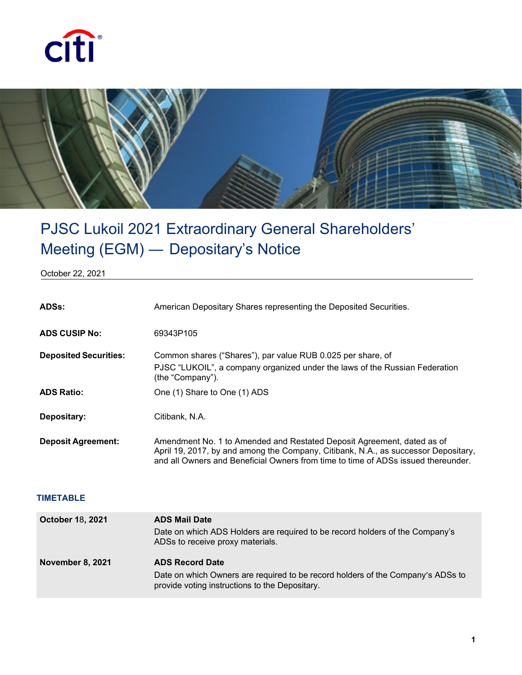



## PJSC Lukoil 2021 Extraordinary General Shareholders' Meeting (EGM) ― Depositary's Notice

October 22, 2021

| ADSs:                        | American Depositary Shares representing the Deposited Securities.                                                                                                                                                                                 |
|------------------------------|---------------------------------------------------------------------------------------------------------------------------------------------------------------------------------------------------------------------------------------------------|
| <b>ADS CUSIP No:</b>         | 69343P105                                                                                                                                                                                                                                         |
| <b>Deposited Securities:</b> | Common shares ("Shares"), par value RUB 0.025 per share, of<br>PJSC "LUKOIL", a company organized under the laws of the Russian Federation<br>(the "Company").                                                                                    |
| <b>ADS Ratio:</b>            | One (1) Share to One (1) ADS                                                                                                                                                                                                                      |
| Depositary:                  | Citibank, N.A.                                                                                                                                                                                                                                    |
| <b>Deposit Agreement:</b>    | Amendment No. 1 to Amended and Restated Deposit Agreement, dated as of<br>April 19, 2017, by and among the Company, Citibank, N.A., as successor Depositary,<br>and all Owners and Beneficial Owners from time to time of ADSs issued thereunder. |

## **TIMETABLE**

| <b>October 18, 2021</b> | <b>ADS Mail Date</b><br>Date on which ADS Holders are required to be record holders of the Company's<br>ADSs to receive proxy materials.                    |
|-------------------------|-------------------------------------------------------------------------------------------------------------------------------------------------------------|
| <b>November 8, 2021</b> | <b>ADS Record Date</b><br>Date on which Owners are required to be record holders of the Company's ADSs to<br>provide voting instructions to the Depositary. |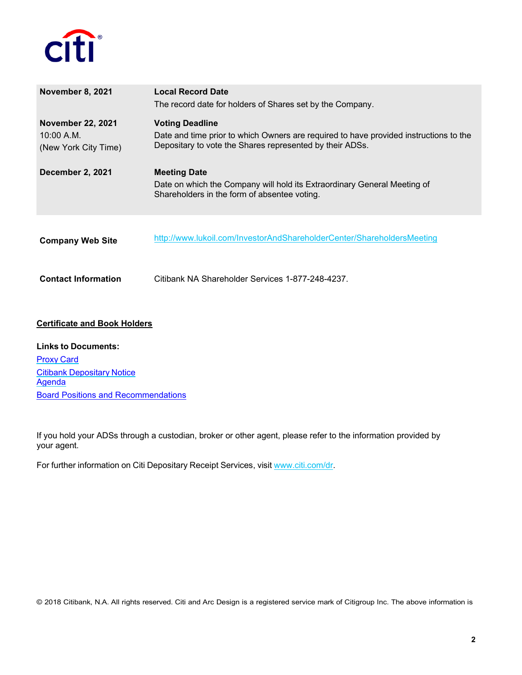

| November 8, 2021                                               | <b>Local Record Date</b><br>The record date for holders of Shares set by the Company.                                                                                       |  |
|----------------------------------------------------------------|-----------------------------------------------------------------------------------------------------------------------------------------------------------------------------|--|
| <b>November 22, 2021</b><br>10:00 A.M.<br>(New York City Time) | <b>Voting Deadline</b><br>Date and time prior to which Owners are required to have provided instructions to the<br>Depositary to vote the Shares represented by their ADSs. |  |
| December 2, 2021                                               | <b>Meeting Date</b><br>Date on which the Company will hold its Extraordinary General Meeting of<br>Shareholders in the form of absentee voting.                             |  |
| <b>Company Web Site</b>                                        | http://www.lukoil.com/InvestorAndShareholderCenter/ShareholdersMeeting                                                                                                      |  |
| <b>Contact Information</b>                                     | Citibank NA Shareholder Services 1-877-248-4237.                                                                                                                            |  |
| <b>Certificate and Book Holders</b>                            |                                                                                                                                                                             |  |

**Links to Documents:** [Proxy](https://depositaryreceipts.citi.com/adr/common/file.aspx?idf=5732) Card Citibank [Depositary](https://depositaryreceipts.citi.com/adr/common/file.aspx?idf=5735) Notice **[Agenda](https://depositaryreceipts.citi.com/adr/common/file.aspx?idf=5733)** [Board Positions and Recommendations](https://depositaryreceipts.citi.com/adr/common/file.aspx?idf=5736)

If you hold your ADSs through a custodian, broker or other agent, please refer to the information provided by your agent.

For further information on Citi Depositary Receipt Services, visit [www.citi.com/dr.](http://www.citi.com/dr)

© 2018 Citibank, N.A. All rights reserved. Citi and Arc Design is a registered service mark of Citigroup Inc. The above information is